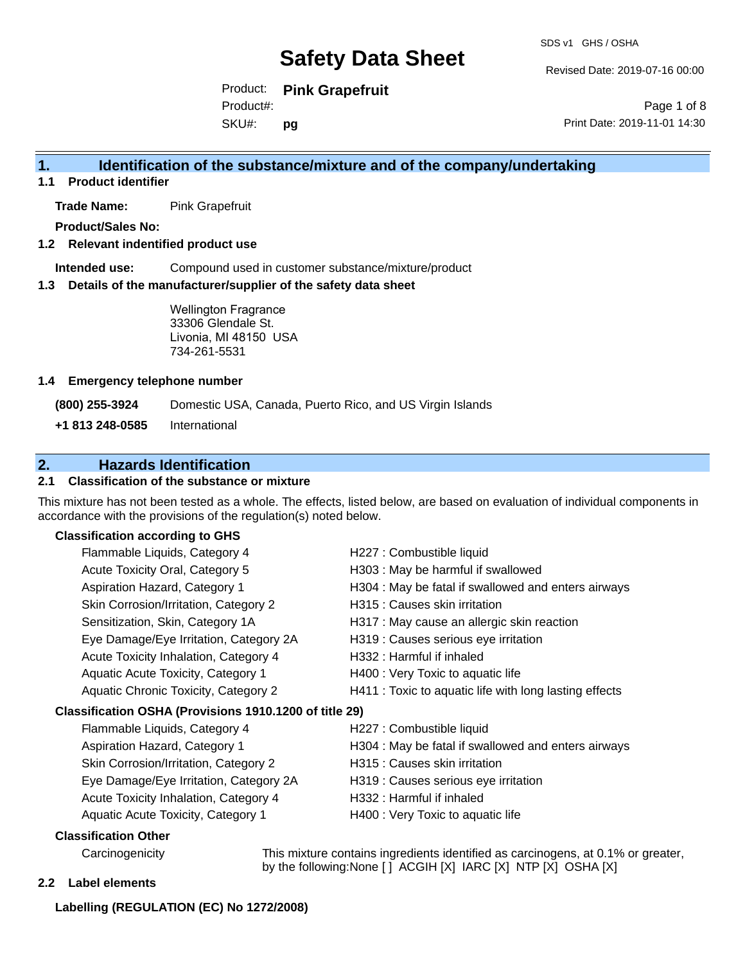Revised Date: 2019-07-16 00:00

Product: **Pink Grapefruit** Product#:

SKU#: **pg**

Page 1 of 8 Print Date: 2019-11-01 14:30

## **1. Identification of the substance/mixture and of the company/undertaking**

**1.1 Product identifier**

**Trade Name:** Pink Grapefruit

**Product/Sales No:**

**1.2 Relevant indentified product use**

**Intended use:** Compound used in customer substance/mixture/product

**1.3 Details of the manufacturer/supplier of the safety data sheet**

Wellington Fragrance 33306 Glendale St. Livonia, MI 48150 USA 734-261-5531

#### **1.4 Emergency telephone number**

**(800) 255-3924** Domestic USA, Canada, Puerto Rico, and US Virgin Islands

**+1 813 248-0585** International

## **2. Hazards Identification**

#### **2.1 Classification of the substance or mixture**

This mixture has not been tested as a whole. The effects, listed below, are based on evaluation of individual components in accordance with the provisions of the regulation(s) noted below.

### **Classification according to GHS**

| Flammable Liquids, Category 4                          | H227 : Combustible liquid                              |
|--------------------------------------------------------|--------------------------------------------------------|
| Acute Toxicity Oral, Category 5                        | H303 : May be harmful if swallowed                     |
| Aspiration Hazard, Category 1                          | H304 : May be fatal if swallowed and enters airways    |
| Skin Corrosion/Irritation, Category 2                  | H315 : Causes skin irritation                          |
| Sensitization, Skin, Category 1A                       | H317 : May cause an allergic skin reaction             |
| Eye Damage/Eye Irritation, Category 2A                 | H319 : Causes serious eye irritation                   |
| Acute Toxicity Inhalation, Category 4                  | H332 : Harmful if inhaled                              |
| Aquatic Acute Toxicity, Category 1                     | H400 : Very Toxic to aquatic life                      |
| Aquatic Chronic Toxicity, Category 2                   | H411 : Toxic to aquatic life with long lasting effects |
| Classification OSHA (Provisions 1910.1200 of title 29) |                                                        |
| Flammable Liquids, Category 4                          | H227 : Combustible liquid                              |
| Aspiration Hazard, Category 1                          | H304 : May be fatal if swallowed and enters airways    |
| Skin Corrosion/Irritation, Category 2                  | H315 : Causes skin irritation                          |
| Eye Damage/Eye Irritation, Category 2A                 | H319 : Causes serious eye irritation                   |
| Acute Toxicity Inhalation, Category 4                  | H332 : Harmful if inhaled                              |
| Aquatic Acute Toxicity, Category 1                     | H400 : Very Toxic to aquatic life                      |
| ALL 161 11 A.L. 2002                                   |                                                        |

#### **Classification Other**

Carcinogenicity This mixture contains ingredients identified as carcinogens, at 0.1% or greater, by the following:None [ ] ACGIH [X] IARC [X] NTP [X] OSHA [X]

#### **2.2 Label elements**

**Labelling (REGULATION (EC) No 1272/2008)**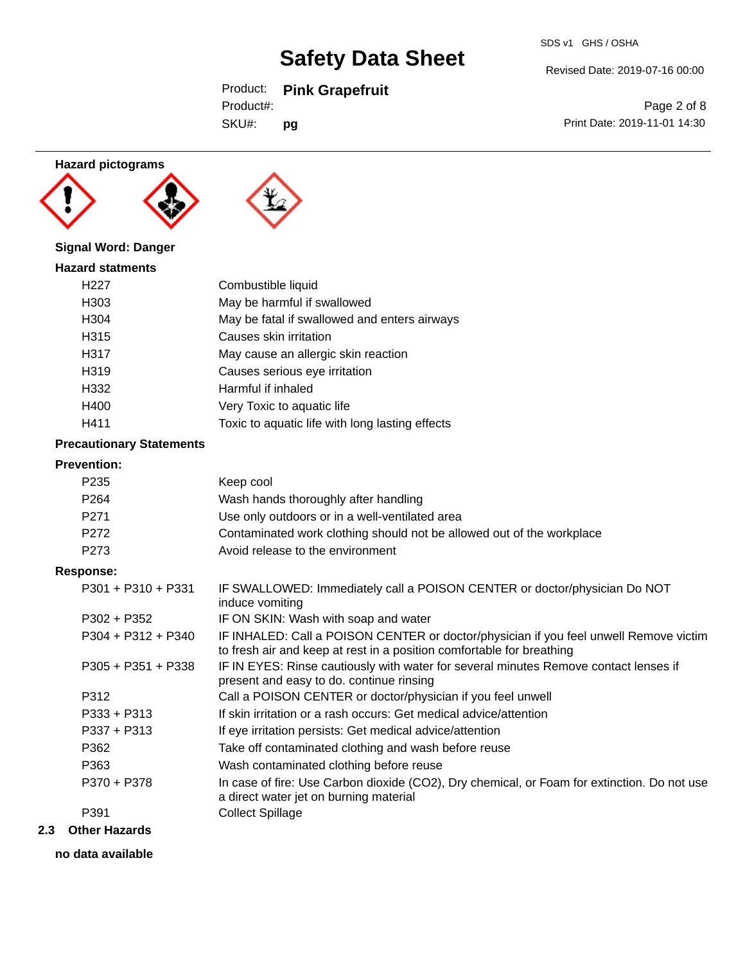# Product: **Pink Grapefruit**

| SDS v1 GHS / OSHA |  |
|-------------------|--|
|                   |  |

Revised Date: 2019-07-16 00:00

SKU#: Product#: **pg**

Page 2 of 8 Print Date: 2019-11-01 14:30

### **Hazard pictograms**





# **Signal Word: Danger**

| <b>Hazard statments</b> |                                                 |
|-------------------------|-------------------------------------------------|
| H <sub>22</sub> 7       | Combustible liquid                              |
| H303                    | May be harmful if swallowed                     |
| H304                    | May be fatal if swallowed and enters airways    |
| H315                    | Causes skin irritation                          |
| H317                    | May cause an allergic skin reaction             |
| H319                    | Causes serious eye irritation                   |
| H332                    | Harmful if inhaled                              |
| H400                    | Very Toxic to aquatic life                      |
| H411                    | Toxic to aquatic life with long lasting effects |

### **Precautionary Statements**

## **Prevention:**

| I I GV GI ILIVII.    |                                                                                                                                                                |
|----------------------|----------------------------------------------------------------------------------------------------------------------------------------------------------------|
| P <sub>235</sub>     | Keep cool                                                                                                                                                      |
| P <sub>264</sub>     | Wash hands thoroughly after handling                                                                                                                           |
| P271                 | Use only outdoors or in a well-ventilated area                                                                                                                 |
| P272                 | Contaminated work clothing should not be allowed out of the workplace                                                                                          |
| P273                 | Avoid release to the environment                                                                                                                               |
| Response:            |                                                                                                                                                                |
| $P301 + P310 + P331$ | IF SWALLOWED: Immediately call a POISON CENTER or doctor/physician Do NOT<br>induce vomiting                                                                   |
| $P302 + P352$        | IF ON SKIN: Wash with soap and water                                                                                                                           |
| $P304 + P312 + P340$ | IF INHALED: Call a POISON CENTER or doctor/physician if you feel unwell Remove victim<br>to fresh air and keep at rest in a position comfortable for breathing |
| P305 + P351 + P338   | IF IN EYES: Rinse cautiously with water for several minutes Remove contact lenses if<br>present and easy to do. continue rinsing                               |
| P312                 | Call a POISON CENTER or doctor/physician if you feel unwell                                                                                                    |
| $P333 + P313$        | If skin irritation or a rash occurs: Get medical advice/attention                                                                                              |
| $P337 + P313$        | If eye irritation persists: Get medical advice/attention                                                                                                       |
| P362                 | Take off contaminated clothing and wash before reuse                                                                                                           |
| P363                 | Wash contaminated clothing before reuse                                                                                                                        |
| P370 + P378          | In case of fire: Use Carbon dioxide (CO2), Dry chemical, or Foam for extinction. Do not use<br>a direct water jet on burning material                          |
| P391                 | <b>Collect Spillage</b>                                                                                                                                        |
|                      |                                                                                                                                                                |

### **2.3 Other Hazards**

**no data available**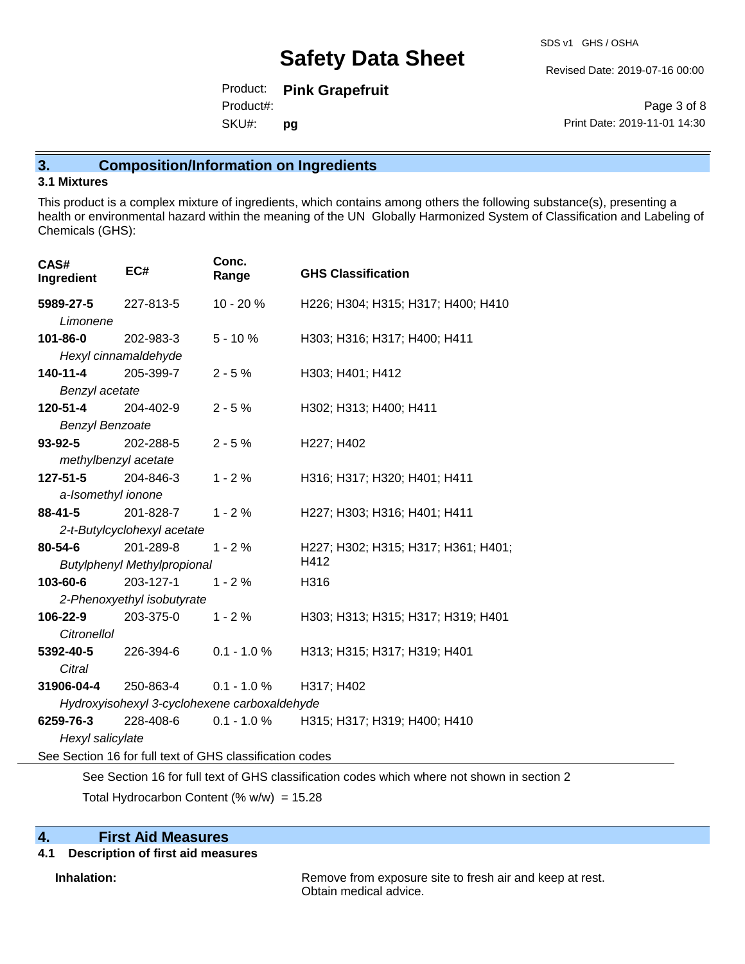Revised Date: 2019-07-16 00:00

Product: **Pink Grapefruit** SKU#: Product#: **pg**

Page 3 of 8 Print Date: 2019-11-01 14:30

# **3. Composition/Information on Ingredients**

#### **3.1 Mixtures**

This product is a complex mixture of ingredients, which contains among others the following substance(s), presenting a health or environmental hazard within the meaning of the UN Globally Harmonized System of Classification and Labeling of Chemicals (GHS):

| CAS#<br>Ingredient     | EC#                                                                                         | Conc.<br>Range | <b>GHS Classification</b>           |  |  |  |  |
|------------------------|---------------------------------------------------------------------------------------------|----------------|-------------------------------------|--|--|--|--|
| 5989-27-5              | 227-813-5                                                                                   | $10 - 20%$     | H226; H304; H315; H317; H400; H410  |  |  |  |  |
| Limonene               |                                                                                             |                |                                     |  |  |  |  |
| 101-86-0               | 202-983-3                                                                                   | $5 - 10%$      | H303; H316; H317; H400; H411        |  |  |  |  |
|                        | Hexyl cinnamaldehyde                                                                        |                |                                     |  |  |  |  |
| 140-11-4               | 205-399-7                                                                                   | $2 - 5%$       | H303; H401; H412                    |  |  |  |  |
| Benzyl acetate         |                                                                                             |                |                                     |  |  |  |  |
| 120-51-4               | 204-402-9                                                                                   | $2 - 5%$       | H302; H313; H400; H411              |  |  |  |  |
| <b>Benzyl Benzoate</b> |                                                                                             |                |                                     |  |  |  |  |
| $93 - 92 - 5$          | 202-288-5                                                                                   | $2 - 5%$       | H227; H402                          |  |  |  |  |
| methylbenzyl acetate   |                                                                                             |                |                                     |  |  |  |  |
| $127 - 51 - 5$         | 204-846-3                                                                                   | $1 - 2%$       | H316; H317; H320; H401; H411        |  |  |  |  |
| a-Isomethyl ionone     |                                                                                             |                |                                     |  |  |  |  |
| 88-41-5                | 201-828-7                                                                                   | $1 - 2%$       | H227; H303; H316; H401; H411        |  |  |  |  |
|                        | 2-t-Butylcyclohexyl acetate                                                                 |                |                                     |  |  |  |  |
| 80-54-6                | 201-289-8                                                                                   | $1 - 2%$       | H227; H302; H315; H317; H361; H401; |  |  |  |  |
|                        | <b>Butylphenyl Methylpropional</b>                                                          |                | H412                                |  |  |  |  |
| 103-60-6               | 203-127-1                                                                                   | $1 - 2%$       | H316                                |  |  |  |  |
|                        | 2-Phenoxyethyl isobutyrate                                                                  |                |                                     |  |  |  |  |
| 106-22-9               | 203-375-0                                                                                   | $1 - 2%$       | H303; H313; H315; H317; H319; H401  |  |  |  |  |
| Citronellol            |                                                                                             |                |                                     |  |  |  |  |
| 5392-40-5              | 226-394-6                                                                                   | $0.1 - 1.0 %$  | H313; H315; H317; H319; H401        |  |  |  |  |
| Citral                 |                                                                                             |                |                                     |  |  |  |  |
| 31906-04-4             | 250-863-4                                                                                   | $0.1 - 1.0 %$  | H317; H402                          |  |  |  |  |
|                        | Hydroxyisohexyl 3-cyclohexene carboxaldehyde                                                |                |                                     |  |  |  |  |
| 6259-76-3              | 228-408-6                                                                                   | $0.1 - 1.0 \%$ | H315; H317; H319; H400; H410        |  |  |  |  |
| Hexyl salicylate       |                                                                                             |                |                                     |  |  |  |  |
|                        | See Section 16 for full text of GHS classification codes                                    |                |                                     |  |  |  |  |
|                        | See Section 16 for full text of GHS classification codes which where not shown in section 2 |                |                                     |  |  |  |  |

Total Hydrocarbon Content (%  $w/w$ ) = 15.28

## **4. First Aid Measures**

#### **4.1 Description of first aid measures**

**Inhalation:** Remove from exposure site to fresh air and keep at rest. Obtain medical advice.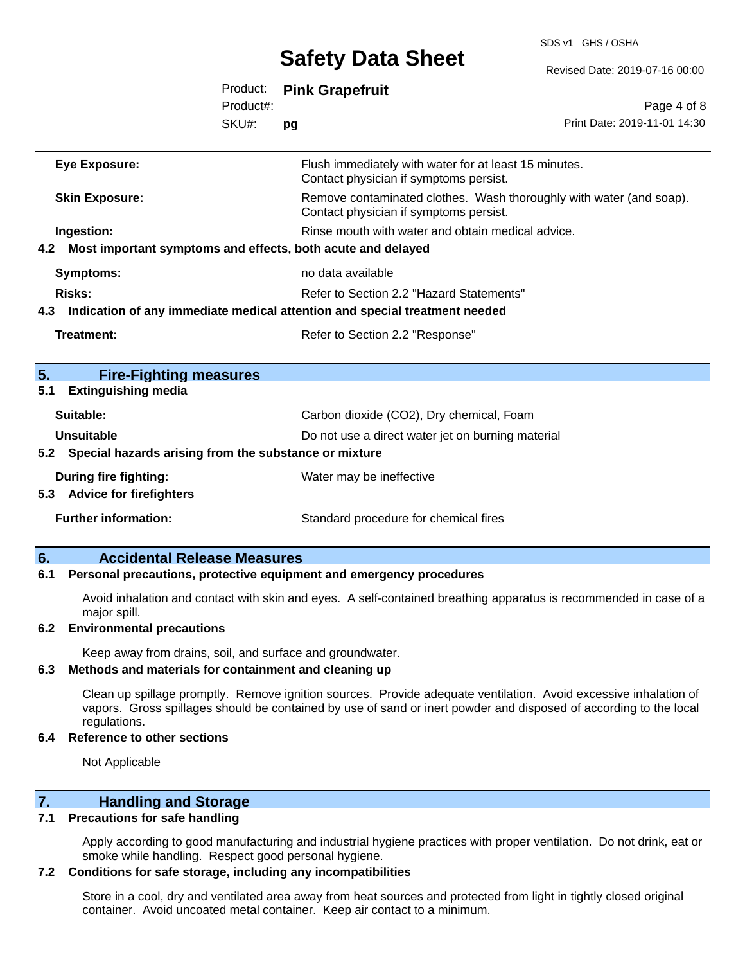SDS v1 GHS / OSHA

|     |                                                                 |           | <b>OUIDLY DULU OIIDUL</b>                                                                                     | Revised Date: 2019-07-16 00:00 |
|-----|-----------------------------------------------------------------|-----------|---------------------------------------------------------------------------------------------------------------|--------------------------------|
|     |                                                                 | Product:  | <b>Pink Grapefruit</b>                                                                                        |                                |
|     |                                                                 | Product#: |                                                                                                               | Page 4 of 8                    |
|     |                                                                 | SKU#:     | pg                                                                                                            | Print Date: 2019-11-01 14:30   |
|     | <b>Eye Exposure:</b>                                            |           | Flush immediately with water for at least 15 minutes.<br>Contact physician if symptoms persist.               |                                |
|     | <b>Skin Exposure:</b>                                           |           | Remove contaminated clothes. Wash thoroughly with water (and soap).<br>Contact physician if symptoms persist. |                                |
|     | Ingestion:                                                      |           | Rinse mouth with water and obtain medical advice.                                                             |                                |
|     | 4.2 Most important symptoms and effects, both acute and delayed |           |                                                                                                               |                                |
|     | <b>Symptoms:</b>                                                |           | no data available                                                                                             |                                |
|     | Risks:                                                          |           | Refer to Section 2.2 "Hazard Statements"                                                                      |                                |
|     |                                                                 |           | 4.3 Indication of any immediate medical attention and special treatment needed                                |                                |
|     | <b>Treatment:</b>                                               |           | Refer to Section 2.2 "Response"                                                                               |                                |
|     |                                                                 |           |                                                                                                               |                                |
| 5.  | <b>Fire-Fighting measures</b>                                   |           |                                                                                                               |                                |
| 5.1 | <b>Extinguishing media</b>                                      |           |                                                                                                               |                                |
|     | Suitable:                                                       |           | Carbon dioxide (CO2), Dry chemical, Foam                                                                      |                                |
|     | <b>Unsuitable</b>                                               |           | Do not use a direct water jet on burning material                                                             |                                |
|     | 5.2 Special hazards arising from the substance or mixture       |           |                                                                                                               |                                |
|     | During fire fighting:                                           |           | Water may be ineffective                                                                                      |                                |
|     | 5.3 Advice for firefighters                                     |           |                                                                                                               |                                |
|     | <b>Further information:</b>                                     |           | Standard procedure for chemical fires                                                                         |                                |
|     |                                                                 |           |                                                                                                               |                                |

#### **6. Accidental Release Measures**

#### **6.1 Personal precautions, protective equipment and emergency procedures**

Avoid inhalation and contact with skin and eyes. A self-contained breathing apparatus is recommended in case of a major spill.

#### **6.2 Environmental precautions**

Keep away from drains, soil, and surface and groundwater.

#### **6.3 Methods and materials for containment and cleaning up**

Clean up spillage promptly. Remove ignition sources. Provide adequate ventilation. Avoid excessive inhalation of vapors. Gross spillages should be contained by use of sand or inert powder and disposed of according to the local regulations.

#### **6.4 Reference to other sections**

Not Applicable

## **7. Handling and Storage**

#### **7.1 Precautions for safe handling**

Apply according to good manufacturing and industrial hygiene practices with proper ventilation. Do not drink, eat or smoke while handling. Respect good personal hygiene.

#### **7.2 Conditions for safe storage, including any incompatibilities**

Store in a cool, dry and ventilated area away from heat sources and protected from light in tightly closed original container. Avoid uncoated metal container. Keep air contact to a minimum.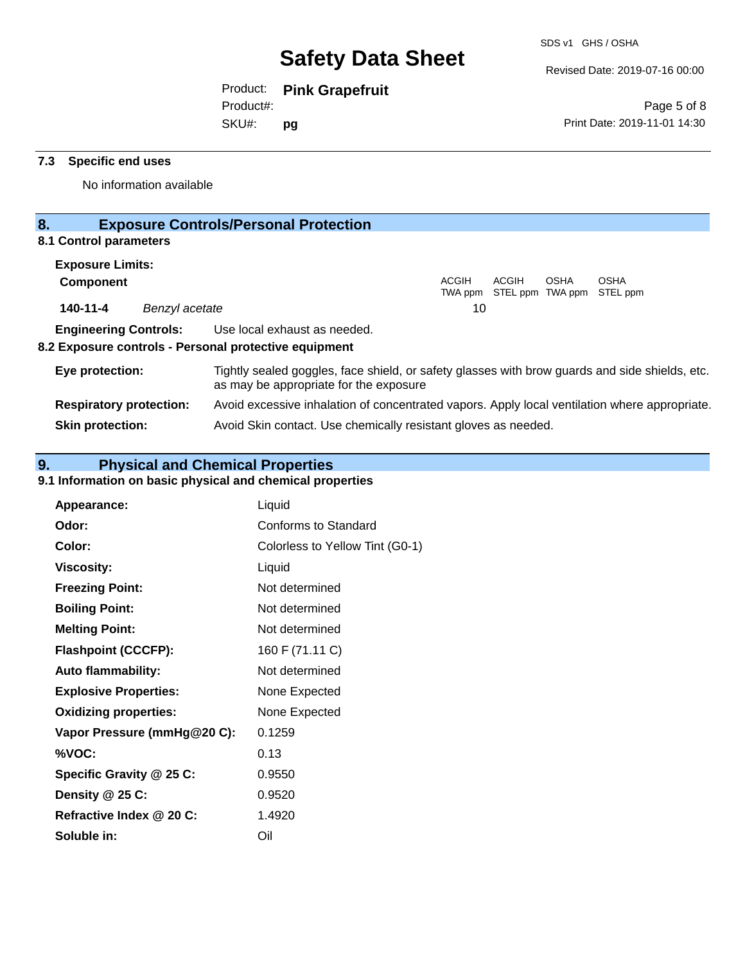Revised Date: 2019-07-16 00:00

Product: **Pink Grapefruit**

SKU#: Product#: **pg**

Page 5 of 8 Print Date: 2019-11-01 14:30

### **7.3 Specific end uses**

No information available

# **8. Exposure Controls/Personal Protection**

## **8.1 Control parameters**

| <b>Exposure Limits:</b> |                |                                                                                                                                          |              |       |      |                                                  |  |
|-------------------------|----------------|------------------------------------------------------------------------------------------------------------------------------------------|--------------|-------|------|--------------------------------------------------|--|
| <b>Component</b>        |                |                                                                                                                                          | <b>ACGIH</b> | ACGIH | OSHA | <b>OSHA</b><br>TWA ppm STEL ppm TWA ppm STEL ppm |  |
| 140-11-4                | Benzyl acetate |                                                                                                                                          | 10           |       |      |                                                  |  |
|                         |                | <b>Engineering Controls:</b> Use local exhaust as needed.<br>8.2 Exposure controls - Personal protective equipment                       |              |       |      |                                                  |  |
| Eye protection:         |                | Tightly sealed goggles, face shield, or safety glasses with brow guards and side shields, etc.<br>as may be appropriate for the exposure |              |       |      |                                                  |  |

**Respiratory protection:** Avoid excessive inhalation of concentrated vapors. Apply local ventilation where appropriate. **Skin protection:** Avoid Skin contact. Use chemically resistant gloves as needed.

# **9. Physical and Chemical Properties**

### **9.1 Information on basic physical and chemical properties**

| Appearance:                  | Liquid                          |
|------------------------------|---------------------------------|
| Odor:                        | Conforms to Standard            |
| Color:                       | Colorless to Yellow Tint (G0-1) |
| <b>Viscosity:</b>            | Liquid                          |
| <b>Freezing Point:</b>       | Not determined                  |
| <b>Boiling Point:</b>        | Not determined                  |
| <b>Melting Point:</b>        | Not determined                  |
| <b>Flashpoint (CCCFP):</b>   | 160 F (71.11 C)                 |
| <b>Auto flammability:</b>    | Not determined                  |
| <b>Explosive Properties:</b> | None Expected                   |
| <b>Oxidizing properties:</b> | None Expected                   |
| Vapor Pressure (mmHg@20 C):  | 0.1259                          |
| %VOC:                        | 0.13                            |
| Specific Gravity @ 25 C:     | 0.9550                          |
| Density $@25C$ :             | 0.9520                          |
| Refractive Index @ 20 C:     | 1.4920                          |
| Soluble in:                  | Oil                             |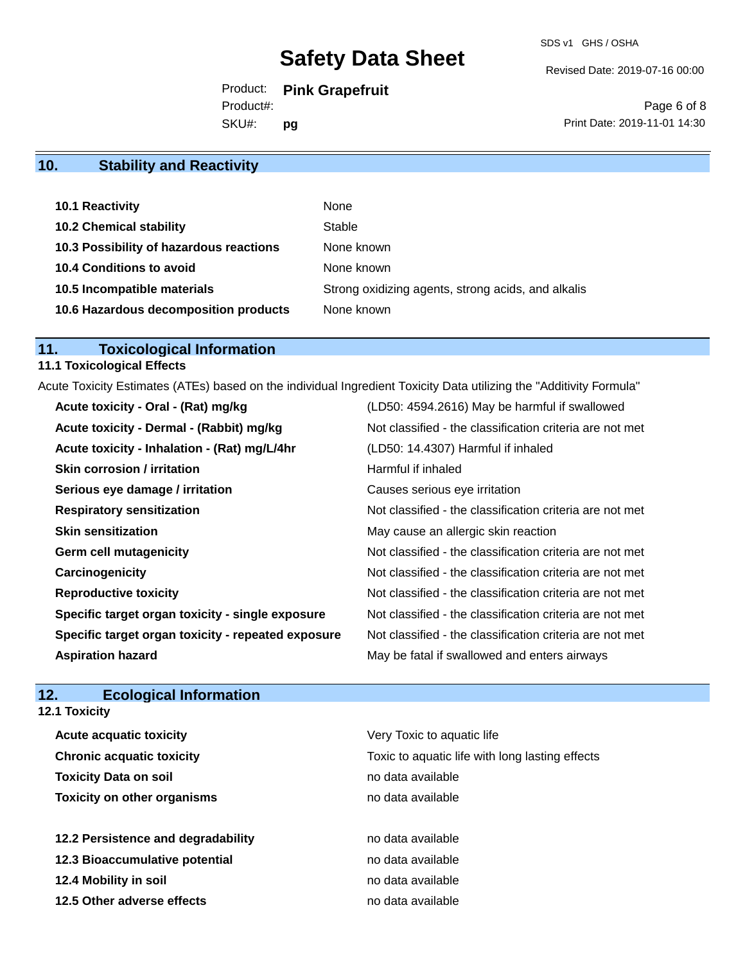Revised Date: 2019-07-16 00:00

Product: **Pink Grapefruit**

Product#:

SKU#: **pg**

Page 6 of 8 Print Date: 2019-11-01 14:30

# **10. Stability and Reactivity**

| 10.1 Reactivity                         | None                                               |
|-----------------------------------------|----------------------------------------------------|
| <b>10.2 Chemical stability</b>          | Stable                                             |
| 10.3 Possibility of hazardous reactions | None known                                         |
| 10.4 Conditions to avoid                | None known                                         |
| 10.5 Incompatible materials             | Strong oxidizing agents, strong acids, and alkalis |
| 10.6 Hazardous decomposition products   | None known                                         |

# **11. Toxicological Information**

# **11.1 Toxicological Effects**

Acute Toxicity Estimates (ATEs) based on the individual Ingredient Toxicity Data utilizing the "Additivity Formula"

| Acute toxicity - Oral - (Rat) mg/kg                | (LD50: 4594.2616) May be harmful if swallowed            |
|----------------------------------------------------|----------------------------------------------------------|
| Acute toxicity - Dermal - (Rabbit) mg/kg           | Not classified - the classification criteria are not met |
| Acute toxicity - Inhalation - (Rat) mg/L/4hr       | (LD50: 14.4307) Harmful if inhaled                       |
| <b>Skin corrosion / irritation</b>                 | Harmful if inhaled                                       |
| Serious eye damage / irritation                    | Causes serious eye irritation                            |
| <b>Respiratory sensitization</b>                   | Not classified - the classification criteria are not met |
| <b>Skin sensitization</b>                          | May cause an allergic skin reaction                      |
| <b>Germ cell mutagenicity</b>                      | Not classified - the classification criteria are not met |
| Carcinogenicity                                    | Not classified - the classification criteria are not met |
| <b>Reproductive toxicity</b>                       | Not classified - the classification criteria are not met |
| Specific target organ toxicity - single exposure   | Not classified - the classification criteria are not met |
| Specific target organ toxicity - repeated exposure | Not classified - the classification criteria are not met |
| <b>Aspiration hazard</b>                           | May be fatal if swallowed and enters airways             |

# **12. Ecological Information**

**12.1 Toxicity**

| <b>Acute acquatic toxicity</b>     | Very Toxic to aquatic life                      |
|------------------------------------|-------------------------------------------------|
| <b>Chronic acquatic toxicity</b>   | Toxic to aquatic life with long lasting effects |
| <b>Toxicity Data on soil</b>       | no data available                               |
| <b>Toxicity on other organisms</b> | no data available                               |
|                                    |                                                 |
| 12.2 Persistence and degradability | no data available                               |
| 12.3 Bioaccumulative potential     | no data available                               |
| 12.4 Mobility in soil              | no data available                               |
| 12.5 Other adverse effects         | no data available                               |
|                                    |                                                 |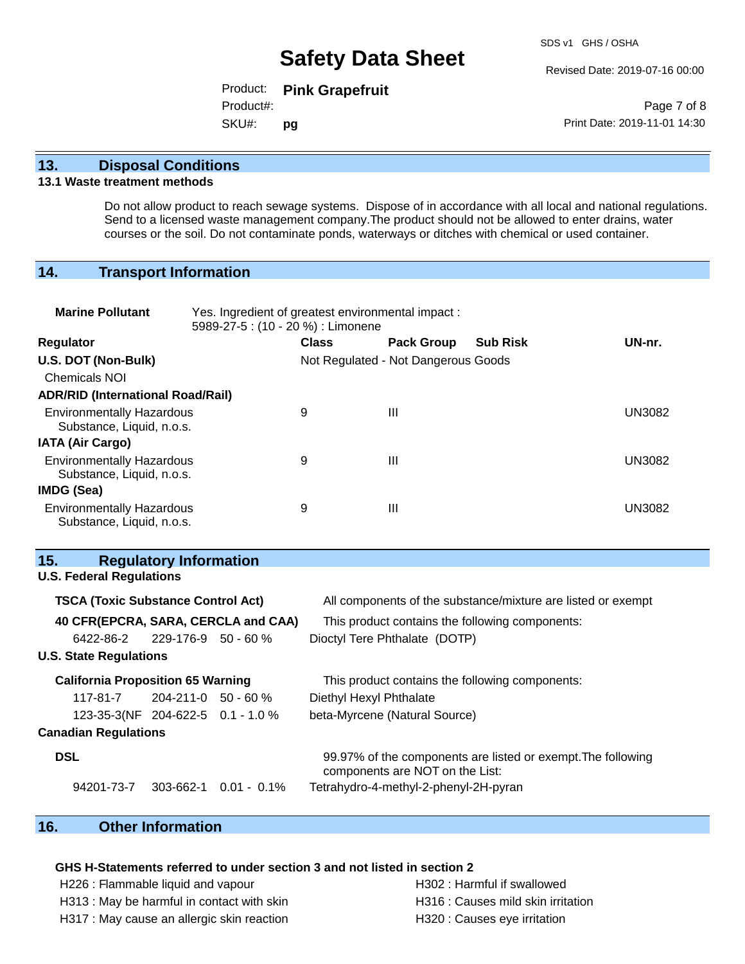Revised Date: 2019-07-16 00:00

Product: **Pink Grapefruit** SKU#: Product#: **pg**

Page 7 of 8 Print Date: 2019-11-01 14:30

#### **13. Disposal Conditions**

#### **13.1 Waste treatment methods**

Do not allow product to reach sewage systems. Dispose of in accordance with all local and national regulations. Send to a licensed waste management company.The product should not be allowed to enter drains, water courses or the soil. Do not contaminate ponds, waterways or ditches with chemical or used container.

#### **14. Transport Information**

| <b>Marine Pollutant</b>                                       | Yes. Ingredient of greatest environmental impact:<br>5989-27-5 : (10 - 20 %) : Limonene |              |                                     |                 |               |
|---------------------------------------------------------------|-----------------------------------------------------------------------------------------|--------------|-------------------------------------|-----------------|---------------|
| Regulator                                                     |                                                                                         | <b>Class</b> | <b>Pack Group</b>                   | <b>Sub Risk</b> | UN-nr.        |
| U.S. DOT (Non-Bulk)                                           |                                                                                         |              | Not Regulated - Not Dangerous Goods |                 |               |
| <b>Chemicals NOI</b>                                          |                                                                                         |              |                                     |                 |               |
| <b>ADR/RID (International Road/Rail)</b>                      |                                                                                         |              |                                     |                 |               |
| <b>Environmentally Hazardous</b><br>Substance, Liquid, n.o.s. |                                                                                         | 9            | $\mathbf{III}$                      |                 | <b>UN3082</b> |
| <b>IATA (Air Cargo)</b>                                       |                                                                                         |              |                                     |                 |               |
| <b>Environmentally Hazardous</b><br>Substance, Liquid, n.o.s. |                                                                                         | 9            | $\mathbf{III}$                      |                 | <b>UN3082</b> |
| <b>IMDG (Sea)</b>                                             |                                                                                         |              |                                     |                 |               |
| <b>Environmentally Hazardous</b><br>Substance, Liquid, n.o.s. |                                                                                         | 9            | $\mathbf{III}$                      |                 | <b>UN3082</b> |

#### **15. Regulatory Information**

**U.S. Federal Regulations**

# **TSCA (Toxic Substance Control Act)** All components of the substance/mixture are listed or exempt **40 CFR(EPCRA, SARA, CERCLA and CAA)** This product contains the following components: 6422-86-2 229-176-9 50 - 60 % Dioctyl Tere Phthalate (DOTP) **U.S. State Regulations California Proposition 65 Warning This product contains the following components:** 117-81-7 204-211-0 50 - 60 % Diethyl Hexyl Phthalate 123-35-3(NF **Canadian Regulations** beta-Myrcene (Natural Source) **DSL DSL** 99.97% of the components are listed or exempt. The following components are NOT on the List: 94201-73-7 303-662-1 0.01 - 0.1% Tetrahydro-4-methyl-2-phenyl-2H-pyran

### **16. Other Information**

#### **GHS H-Statements referred to under section 3 and not listed in section 2**

H226 : Flammable liquid and vapour H302 : Harmful if swallowed

H317 : May cause an allergic skin reaction example and H320 : Causes eye irritation

H313 : May be harmful in contact with skin H316 : Causes mild skin irritation